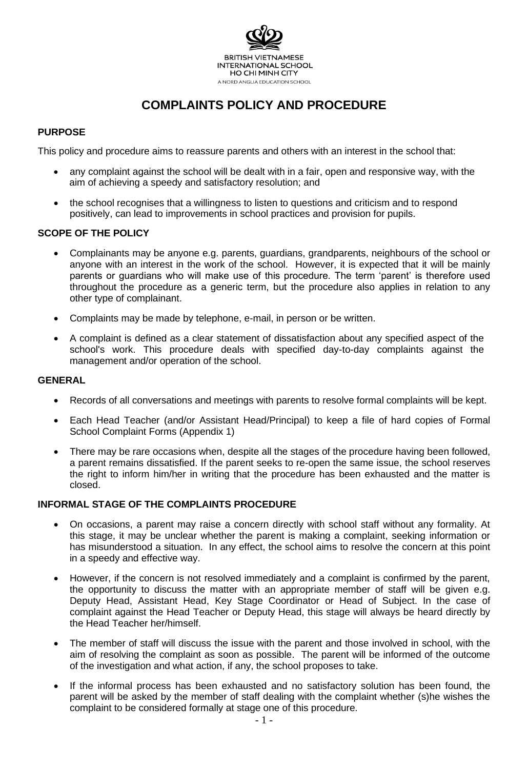

# **COMPLAINTS POLICY AND PROCEDURE**

# **PURPOSE**

This policy and procedure aims to reassure parents and others with an interest in the school that:

- any complaint against the school will be dealt with in a fair, open and responsive way, with the aim of achieving a speedy and satisfactory resolution; and
- the school recognises that a willingness to listen to questions and criticism and to respond positively, can lead to improvements in school practices and provision for pupils.

### **SCOPE OF THE POLICY**

- Complainants may be anyone e.g. parents, guardians, grandparents, neighbours of the school or anyone with an interest in the work of the school. However, it is expected that it will be mainly parents or guardians who will make use of this procedure. The term 'parent' is therefore used throughout the procedure as a generic term, but the procedure also applies in relation to any other type of complainant.
- Complaints may be made by telephone, e-mail, in person or be written.
- A complaint is defined as a clear statement of dissatisfaction about any specified aspect of the school's work. This procedure deals with specified day-to-day complaints against the management and/or operation of the school.

### **GENERAL**

- Records of all conversations and meetings with parents to resolve formal complaints will be kept.
- Each Head Teacher (and/or Assistant Head/Principal) to keep a file of hard copies of Formal School Complaint Forms (Appendix 1)
- There may be rare occasions when, despite all the stages of the procedure having been followed, a parent remains dissatisfied. If the parent seeks to re-open the same issue, the school reserves the right to inform him/her in writing that the procedure has been exhausted and the matter is closed.

### **INFORMAL STAGE OF THE COMPLAINTS PROCEDURE**

- On occasions, a parent may raise a concern directly with school staff without any formality. At this stage, it may be unclear whether the parent is making a complaint, seeking information or has misunderstood a situation. In any effect, the school aims to resolve the concern at this point in a speedy and effective way.
- However, if the concern is not resolved immediately and a complaint is confirmed by the parent, the opportunity to discuss the matter with an appropriate member of staff will be given e.g. Deputy Head, Assistant Head, Key Stage Coordinator or Head of Subject. In the case of complaint against the Head Teacher or Deputy Head, this stage will always be heard directly by the Head Teacher her/himself.
- The member of staff will discuss the issue with the parent and those involved in school, with the aim of resolving the complaint as soon as possible. The parent will be informed of the outcome of the investigation and what action, if any, the school proposes to take.
- If the informal process has been exhausted and no satisfactory solution has been found, the parent will be asked by the member of staff dealing with the complaint whether (s)he wishes the complaint to be considered formally at stage one of this procedure.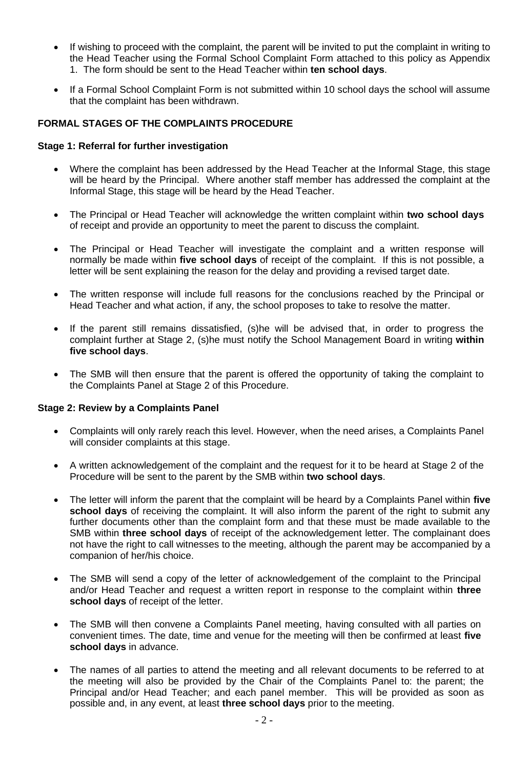- If wishing to proceed with the complaint, the parent will be invited to put the complaint in writing to the Head Teacher using the Formal School Complaint Form attached to this policy as Appendix 1. The form should be sent to the Head Teacher within **ten school days**.
- If a Formal School Complaint Form is not submitted within 10 school days the school will assume that the complaint has been withdrawn.

### **FORMAL STAGES OF THE COMPLAINTS PROCEDURE**

### **Stage 1: Referral for further investigation**

- Where the complaint has been addressed by the Head Teacher at the Informal Stage, this stage will be heard by the Principal. Where another staff member has addressed the complaint at the Informal Stage, this stage will be heard by the Head Teacher.
- The Principal or Head Teacher will acknowledge the written complaint within **two school days**  of receipt and provide an opportunity to meet the parent to discuss the complaint.
- The Principal or Head Teacher will investigate the complaint and a written response will normally be made within **five school days** of receipt of the complaint. If this is not possible, a letter will be sent explaining the reason for the delay and providing a revised target date.
- The written response will include full reasons for the conclusions reached by the Principal or Head Teacher and what action, if any, the school proposes to take to resolve the matter.
- If the parent still remains dissatisfied, (s)he will be advised that, in order to progress the complaint further at Stage 2, (s)he must notify the School Management Board in writing **within five school days**.
- The SMB will then ensure that the parent is offered the opportunity of taking the complaint to the Complaints Panel at Stage 2 of this Procedure.

### **Stage 2: Review by a Complaints Panel**

- Complaints will only rarely reach this level. However, when the need arises, a Complaints Panel will consider complaints at this stage.
- A written acknowledgement of the complaint and the request for it to be heard at Stage 2 of the Procedure will be sent to the parent by the SMB within **two school days**.
- The letter will inform the parent that the complaint will be heard by a Complaints Panel within **five school days** of receiving the complaint. It will also inform the parent of the right to submit any further documents other than the complaint form and that these must be made available to the SMB within **three school days** of receipt of the acknowledgement letter. The complainant does not have the right to call witnesses to the meeting, although the parent may be accompanied by a companion of her/his choice.
- The SMB will send a copy of the letter of acknowledgement of the complaint to the Principal and/or Head Teacher and request a written report in response to the complaint within **three school days** of receipt of the letter.
- The SMB will then convene a Complaints Panel meeting, having consulted with all parties on convenient times. The date, time and venue for the meeting will then be confirmed at least **five school days** in advance.
- The names of all parties to attend the meeting and all relevant documents to be referred to at the meeting will also be provided by the Chair of the Complaints Panel to: the parent; the Principal and/or Head Teacher; and each panel member. This will be provided as soon as possible and, in any event, at least **three school days** prior to the meeting.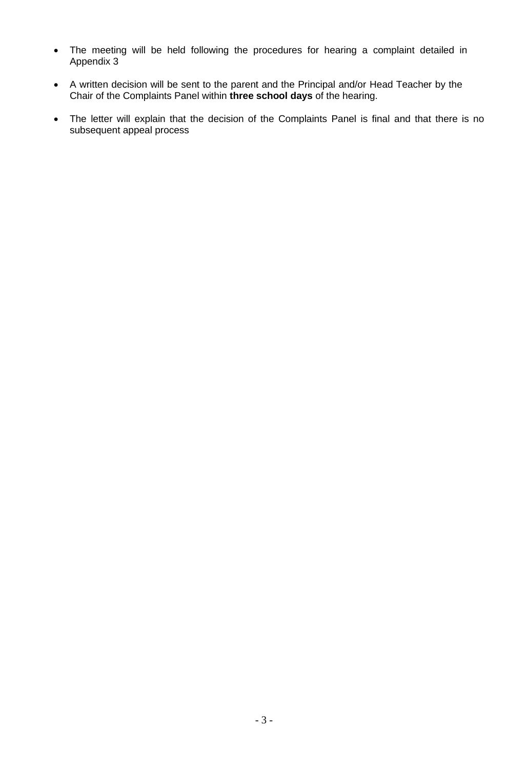- The meeting will be held following the procedures for hearing a complaint detailed in Appendix 3
- A written decision will be sent to the parent and the Principal and/or Head Teacher by the Chair of the Complaints Panel within **three school days** of the hearing.
- The letter will explain that the decision of the Complaints Panel is final and that there is no subsequent appeal process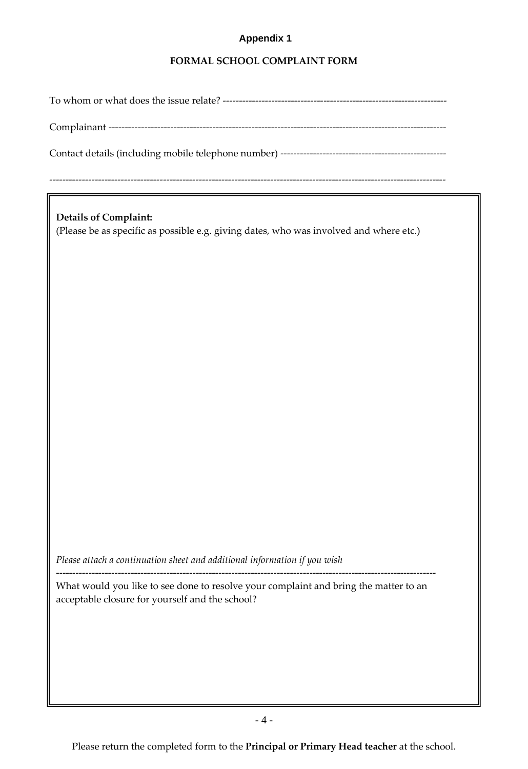# **Appendix 1**

### **FORMAL SCHOOL COMPLAINT FORM**

To whom or what does the issue relate? ---------------------------------------------------------------------

Complainant --------------------------------------------------------------------------------------------------------

Contact details (including mobile telephone number) ---------------------------------------------------

--------------------------------------------------------------------------------------------------------------------------

**Details of Complaint:** (Please be as specific as possible e.g. giving dates, who was involved and where etc.)

*Please attach a continuation sheet and additional information if you wish*

What would you like to see done to resolve your complaint and bring the matter to an acceptable closure for yourself and the school?

---------------------------------------------------------------------------------------------------------------------

Please return the completed form to the **Principal or Primary Head teacher** at the school.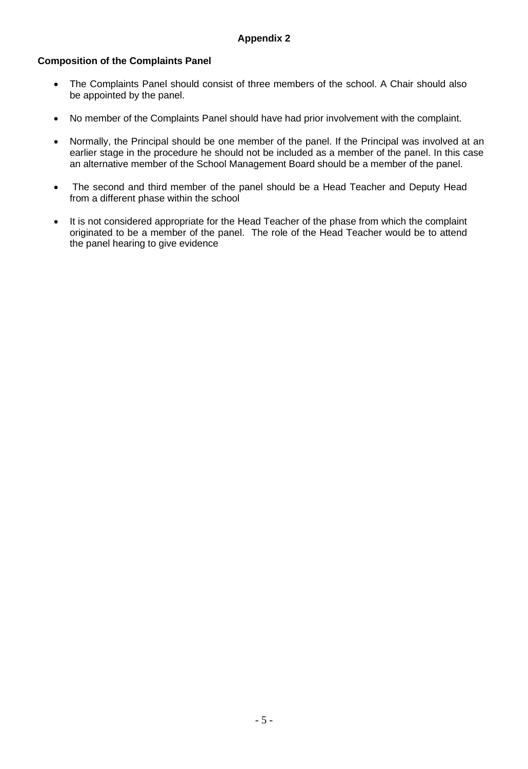# **Composition of the Complaints Panel**

- The Complaints Panel should consist of three members of the school. A Chair should also be appointed by the panel.
- No member of the Complaints Panel should have had prior involvement with the complaint.
- Normally, the Principal should be one member of the panel. If the Principal was involved at an earlier stage in the procedure he should not be included as a member of the panel. In this case an alternative member of the School Management Board should be a member of the panel.
- The second and third member of the panel should be a Head Teacher and Deputy Head from a different phase within the school
- It is not considered appropriate for the Head Teacher of the phase from which the complaint originated to be a member of the panel. The role of the Head Teacher would be to attend the panel hearing to give evidence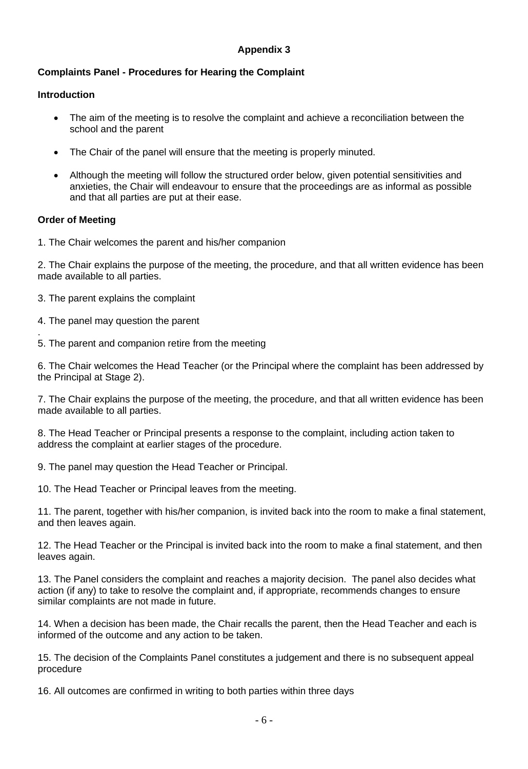# **Appendix 3**

# **Complaints Panel - Procedures for Hearing the Complaint**

# **Introduction**

- The aim of the meeting is to resolve the complaint and achieve a reconciliation between the school and the parent
- The Chair of the panel will ensure that the meeting is properly minuted.
- Although the meeting will follow the structured order below, given potential sensitivities and anxieties, the Chair will endeavour to ensure that the proceedings are as informal as possible and that all parties are put at their ease.

### **Order of Meeting**

1. The Chair welcomes the parent and his/her companion

2. The Chair explains the purpose of the meeting, the procedure, and that all written evidence has been made available to all parties.

- 3. The parent explains the complaint
- 4. The panel may question the parent
- . 5. The parent and companion retire from the meeting

6. The Chair welcomes the Head Teacher (or the Principal where the complaint has been addressed by the Principal at Stage 2).

7. The Chair explains the purpose of the meeting, the procedure, and that all written evidence has been made available to all parties.

8. The Head Teacher or Principal presents a response to the complaint, including action taken to address the complaint at earlier stages of the procedure.

9. The panel may question the Head Teacher or Principal.

10. The Head Teacher or Principal leaves from the meeting.

11. The parent, together with his/her companion, is invited back into the room to make a final statement, and then leaves again.

12. The Head Teacher or the Principal is invited back into the room to make a final statement, and then leaves again.

13. The Panel considers the complaint and reaches a majority decision. The panel also decides what action (if any) to take to resolve the complaint and, if appropriate, recommends changes to ensure similar complaints are not made in future.

14. When a decision has been made, the Chair recalls the parent, then the Head Teacher and each is informed of the outcome and any action to be taken.

15. The decision of the Complaints Panel constitutes a judgement and there is no subsequent appeal procedure

16. All outcomes are confirmed in writing to both parties within three days